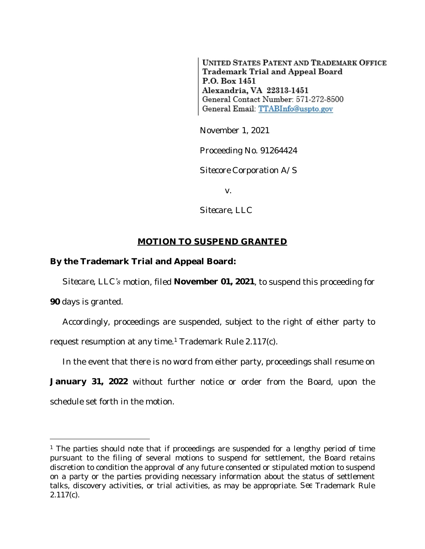**UNITED STATES PATENT AND TRADEMARK OFFICE** Trademark Trial and Appeal Board P.O. Box 1451 Alexandria, VA 22313-1451 General Contact Number: 571-272-8500 General Email: TTABInfo@uspto.gov

November 1, 2021

Proceeding No. 91264424

*Sitecore Corporation A/S*

v.

*Sitecare, LLC*

## **MOTION TO SUSPEND GRANTED**

## **By the Trademark Trial and Appeal Board:**

*Sitecare, LLC's* motion, filed **November 01, 2021**, to suspend this proceeding for

**90** days is granted.

Accordingly, proceedings are suspended, subject to the right of either party to request resumption at any time.<sup>1</sup> Trademark Rule 2.117(c).

In the event that there is no word from either party, proceedings shall resume on

**January 31, 2022** without further notice or order from the Board, upon the schedule set forth in the motion.

<sup>&</sup>lt;sup>1</sup> The parties should note that if proceedings are suspended for a lengthy period of time pursuant to the filing of several motions to suspend for settlement, the Board retains discretion to condition the approval of any future consented or stipulated motion to suspend on a party or the parties providing necessary information about the status of settlement talks, discovery activities, or trial activities, as may be appropriate. *See* Trademark Rule 2.117(c).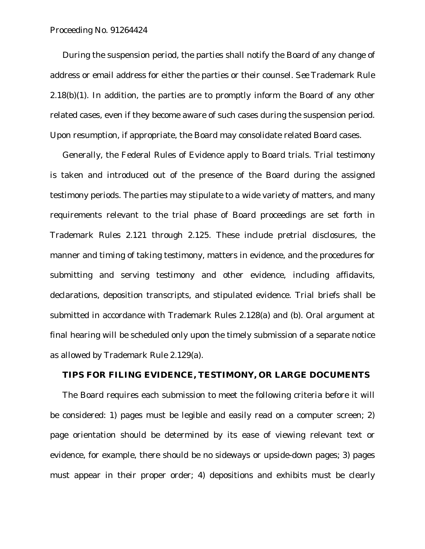Proceeding No. 91264424

During the suspension period, the parties shall notify the Board of any change of address or email address for either the parties or their counsel. *See* Trademark Rule  $2.18(b)(1)$ . In addition, the parties are to promptly inform the Board of any other related cases, even if they become aware of such cases during the suspension period. Upon resumption, if appropriate, the Board may consolidate related Board cases.

Generally, the Federal Rules of Evidence apply to Board trials. Trial testimony is taken and introduced out of the presence of the Board during the assigned testimony periods. The parties may stipulate to a wide variety of matters, and many requirements relevant to the trial phase of Board proceedings are set forth in Trademark Rules 2.121 through 2.125. These include pretrial disclosures, the manner and timing of taking testimony, matters in evidence, and the procedures for submitting and serving testimony and other evidence, including affidavits, declarations, deposition transcripts, and stipulated evidence. Trial briefs shall be submitted in accordance with Trademark Rules 2.128(a) and (b). Oral argument at final hearing will be scheduled only upon the timely submission of a separate notice as allowed by Trademark Rule 2.129(a).

## **TIPS FOR FILING EVIDENCE, TESTIMONY, OR LARGE DOCUMENTS**

The Board requires each submission to meet the following criteria before it will be considered: 1) pages must be legible and easily read on a computer screen; 2) page orientation should be determined by its ease of viewing relevant text or evidence, for example, there should be no sideways or upside-down pages; 3) pages must appear in their proper order; 4) depositions and exhibits must be clearly